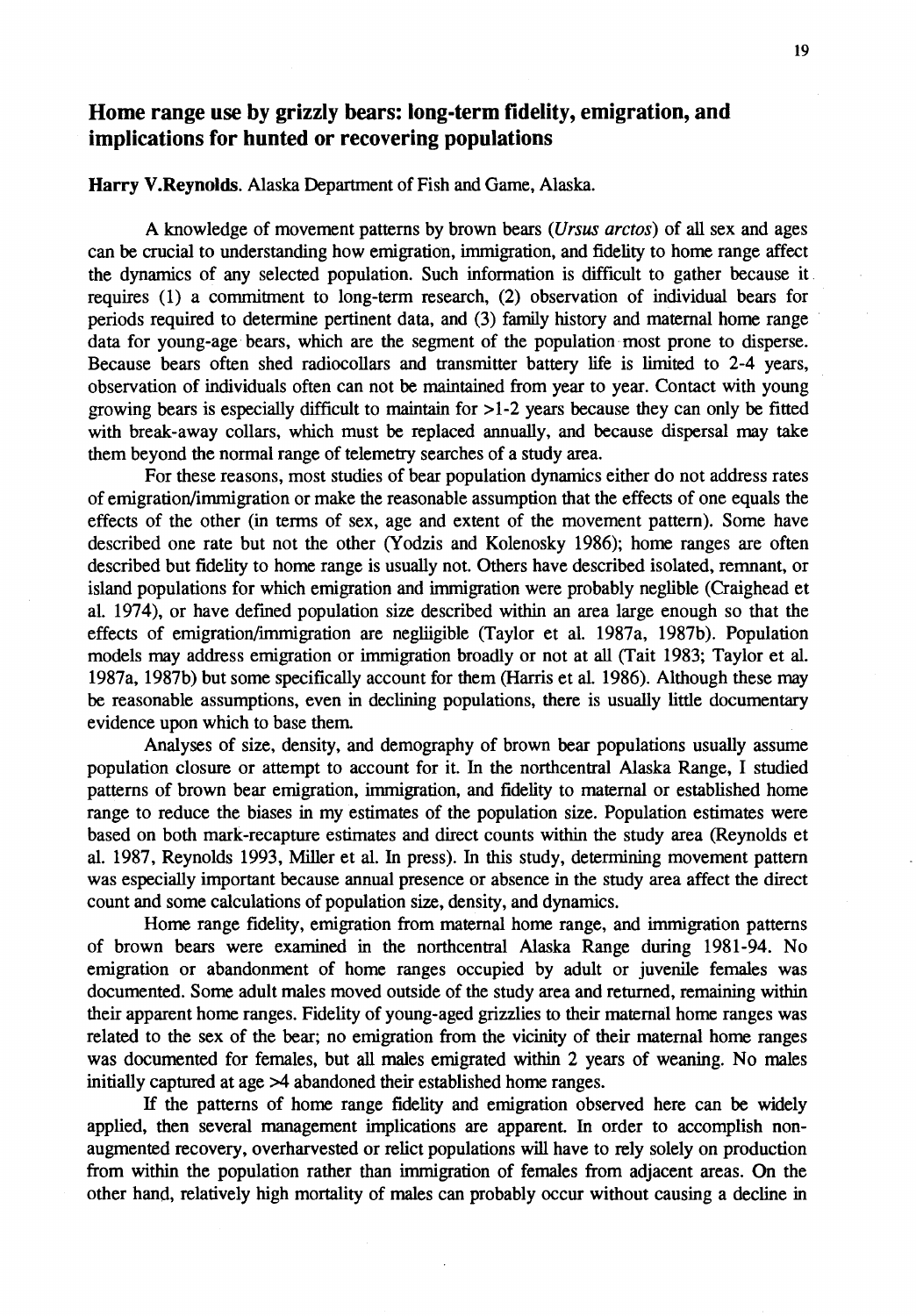## **Home range use by grizzly bears: long-term fidelity, emigration, and implications for hunted or recovering populations**

## **Harry V.Reynolds.** Alaska Department of Fish and Game, Alaska.

A knowledge of movement patterns by brown bears *(Ursus arctos)* of all sex and ages can be crucial to understanding how emigration, immigration, and fidelity to home range affect the dynamics of any selected population. Such information is difficult to gather because it . requires (1) a commitment to long-term research, (2) observation of individual bears for periods required to determine pertinent data, and (3) family history and maternal home range data for young-age· bears, which are the segment of the population· most prone to disperse. Because bears often shed radiocollars and transmitter battery life is limited to 2-4 years, observation of individuals often can not be maintained from year to year. Contact with young growing bears is especially difficult to maintain for  $>1-2$  years because they can only be fitted with break-away collars, which must be replaced annually, and because dispersal may take them beyond the normal range of telemetry searches of a study area.

For these reasons, most studies of bear population dynamics either do not address rates of emigration/immigration or make the reasonable assumption that the effects of one equals the effects of the other (in terms of sex, age and extent of the movement pattern). Some have described one rate but not the other (Yodzis and Kolenosky 1986); home ranges are often described but fidelity to home range is usually not. Others have described isolated, remnant, or island populations for which emigration and immigration were probably neglible (Craighead et al. 1974), or have defined population size described within an area large enough so that the effects of emigration/immigration are negliigible (Taylor et al. 1987a, 1987b). Population models may address emigration or immigration broadly or not at all (Tait 1983; Taylor et al. 1987a, 1987b) but some specifically account for them (Harris et al. 1986). Although these may be reasonable assumptions, even in declining populations, there is usually little documentary evidence upon which to base them.

Analyses of size, density, and demography of brown bear populations usually assume population closure or attempt to account for it. In the northcentral Alaska Range, I studied patterns of brown bear emigration, immigration, and fidelity to maternal or established home range to reduce the biases in my estimates of the population size. Population estimates were based on both mark-recapture estimates and direct counts within the study area (Reynolds et al. 1987, Reynolds 1993, Miller et al. In press). In this study, determining movement pattern was especially important because annual presence or absence in the study area affect the direct count and some calculations of population size, density, and dynamics.

Home range fidelity, emigration from maternal home range, and immigration patterns of brown bears were examined in the northcentral Alaska Range during 1981-94. No emigration or abandonment of home ranges occupied by adult or juvenile females was documented. Some adult males moved outside of the study area and returned, remaining within their apparent home ranges. Fidelity of young-aged grizzlies to their maternal home ranges was related to the sex of the bear; no emigration from the vicinity of their maternal home ranges was documented for females, but all males emigrated within 2 years of weaning. No males initially captured at age  $\geq$ 4 abandoned their established home ranges.

If the patterns of home range fidelity and emigration observed here can be widely applied, then several management implications are apparent. In order to accomplish nonaugmented recovery, overharvested or relict populations will have to rely solely on production from within the population rather than immigration of females from adjacent areas. On the other hand, relatively high mortality of males can probably occur without causing a decline in